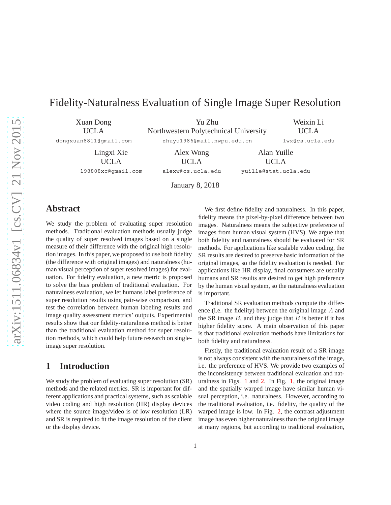# Fidelity-Naturalness Evaluation of Single Image Super Resolution

Xuan Dong UCLA

dongxuan8811@gmail.com

Lingxi Xie UCLA 198808xc@gmail.com

zhuyu1986@mail.nwpu.edu.cn Alex Wong UCLA alexw@cs.ucla.edu

Yu Zhu Northwestern Polytechnical University

UCLA lwx@cs.ucla.edu Alan Yuille

Weixin Li

UCLA yuille@stat.ucla.edu

January 8, 2018

# **Abstract**

We study the problem of evaluating super resolution methods. Traditional evaluation methods usually judge the quality of super resolved images based on a single measure of their difference with the original high resolution images. In this paper, we proposed to use both fidelity (the difference with original images) and naturalness (human visual perception of super resolved images) for evaluation. For fidelity evaluation, a new metric is proposed to solve the bias problem of traditional evaluation. For naturalness evaluation, we let humans label preference of super resolution results using pair-wise comparison, and test the correlation between human labeling results and image quality assessment metrics' outputs. Experimental results show that our fidelity-naturalness method is better than the traditional evaluation method for super resolution methods, which could help future research on singleimage super resolution.

# <span id="page-0-0"></span>**1 Introduction**

We study the problem of evaluating super resolution (SR) methods and the related metrics. SR is important for different applications and practical systems, such as scalable video coding and high resolution (HR) display devices where the source image/video is of low resolution (LR) and SR is required to fit the image resolution of the client or the display device.

We first define fidelity and naturalness. In this paper, fidelity means the pixel-by-pixel difference between two images. Naturalness means the subjective preference of images from human visual system (HVS). We argue that both fidelity and naturalness should be evaluated for SR methods. For applications like scalable video coding, the SR results are desired to preserve basic information of the original images, so the fidelity evaluation is needed. For applications like HR display, final consumers are usually humans and SR results are desired to get high preference by the human visual system, so the naturalness evaluation is important.

Traditional SR evaluation methods compute the difference (i.e. the fidelity) between the original image A and the SR image  $B$ , and they judge that  $B$  is better if it has higher fidelity score. A main observation of this paper is that traditional evaluation methods have limitations for both fidelity and naturalness.

Firstly, the traditional evaluation result of a SR image is not always consistent with the naturalness of the image, i.e. the preference of HVS. We provide two examples of the inconsistency between traditional evaluation and naturalness in Figs. [1](#page-2-0) and [2.](#page-2-1) In Fig. [1,](#page-2-0) the original image and the spatially warped image have similar human visual perception, i.e. naturalness. However, according to the traditional evaluation, i.e. fidelity, the quality of the warped image is low. In Fig. [2,](#page-2-1) the contrast adjustment image has even higher naturalness than the original image at many regions, but according to traditional evaluation,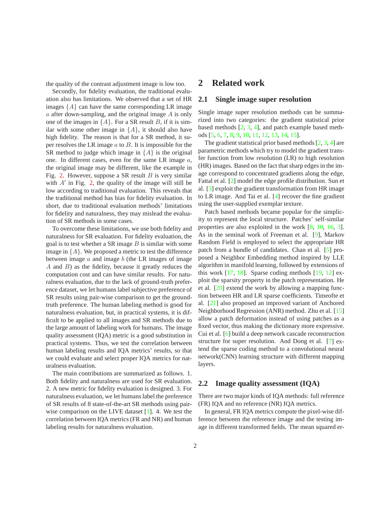<span id="page-1-0"></span>the quality of the contrast adjustment image is low too.

Secondly, for fidelity evaluation, the traditional evaluation also has limitations. We observed that a set of HR images  ${A}$  can have the same corresponding LR image  $a$  after down-sampling, and the original image  $A$  is only one of the images in  ${A}$ . For a SR result B, if it is similar with some other image in  $\{A\}$ , it should also have high fidelity. The reason is that for a SR method, it super resolves the LR image  $a$  to  $B$ . It is impossible for the SR method to judge which image in  ${A}$  is the original one. In different cases, even for the same LR image  $a$ , the original image may be different, like the example in Fig. [2.](#page-2-1) However, suppose a SR result  $B$  is very similar with  $A'$  in Fig. [2,](#page-2-1) the quality of the image will still be low according to traditional evaluation. This reveals that the traditional method has bias for fidelity evaluation. In short, due to traditional evaluation methods' limitations for fidelity and naturalness, they may mislead the evaluation of SR methods in some cases.

To overcome these limitations, we use both fidelity and naturalness for SR evaluation. For fidelity evaluation, the goal is to test whether a SR image  $B$  is similar with some image in  ${A}$ . We proposed a metric to test the difference between image  $a$  and image  $b$  (the LR images of image A and B) as the fidelity, because it greatly reduces the computation cost and can have similar results. For naturalness evaluation, due to the lack of ground-truth preference dataset, we let humans label subjective preference of SR results using pair-wise comparison to get the groundtruth preference. The human labeling method is good for naturalness evaluation, but, in practical systems, it is difficult to be applied to all images and SR methods due to the large amount of labeling work for humans. The image quality assessment (IQA) metric is a good substitution in practical systems. Thus, we test the correlation between human labeling results and IQA metrics' results, so that we could evaluate and select proper IQA metrics for naturalness evaluation.

The main contributions are summarized as follows. 1. Both fidelity and naturalness are used for SR evaluation. 2. A new metric for fidelity evaluation is designed. 3. For naturalness evaluation, we let humans label the preference of SR results of 8 state-of-the-art SR methods using pair-wise comparison on the LIVE dataset [\[1\]](#page-9-0). 4. We test the correlation between IQA metrics (FR and NR) and human labeling results for naturalness evaluation.

## **2 Related work**

#### **2.1 Single image super resolution**

Single image super resolution methods can be summarized into two categories: the gradient statistical prior based methods [\[2,](#page-10-0) [3,](#page-10-1) [4\]](#page-10-2), and patch example based methods [\[5,](#page-10-3) [6,](#page-10-4) [7,](#page-10-5) [8,](#page-10-6) [9,](#page-10-7) [10,](#page-10-8) [11,](#page-10-9) [12,](#page-10-10) [13,](#page-10-11) [14,](#page-10-12) [15\]](#page-10-13).

The gradient statistical prior based methods  $[2, 3, 4]$  $[2, 3, 4]$  $[2, 3, 4]$  $[2, 3, 4]$  $[2, 3, 4]$  are parametric methods which try to model the gradient transfer function from low resolution (LR) to high resolution (HR) images. Based on the fact that sharp edges in the image correspond to concentrated gradients along the edge, Fattal et al. [\[2\]](#page-10-0) model the edge profile distribution. Sun et al. [\[3\]](#page-10-1) exploit the gradient transformation from HR image to LR image. And Tai et al. [\[4\]](#page-10-2) recover the fine gradient using the user-supplied exemplar texture.

Patch based methods became popular for the simplicity to represent the local structure. Patches' self-similar properties are also exploited in the work [\[8,](#page-10-6) [10,](#page-10-8) [16,](#page-10-14) [3\]](#page-10-1). As in the seminal work of Freeman et al. [\[9\]](#page-10-7), Markov Random Field is employed to select the appropriate HR patch from a bundle of candidates. Chan et al. [\[5\]](#page-10-3) proposed a Neighbor Embedding method inspired by LLE algorithm in manifold learning, followed by extensions of this work  $[17, 18]$  $[17, 18]$  $[17, 18]$ . Sparse coding methods  $[19, 12]$  $[19, 12]$  exploit the sparsity property in the patch representation. He et al. [\[20\]](#page-11-3) extend the work by allowing a mapping function between HR and LR sparse coefficients. Timeofte et al. [\[21\]](#page-11-4) also proposed an improved variant of Anchored Neighborhood Regression (ANR) method. Zhu et al. [\[15\]](#page-10-13) allow a patch deformation instead of using patches as a fixed vector, thus making the dictionary more expressive. Cui et al. [\[6\]](#page-10-4) build a deep network cascade reconstruction structure for super resolution. And Dong et al. [\[7\]](#page-10-5) extend the sparse coding method to a convolutional neural network(CNN) learning structure with different mapping layers.

#### **2.2 Image quality assessment (IQA)**

There are two major kinds of IQA methods: full reference (FR) IQA and no reference (NR) IQA metrics.

In general, FR IQA metrics compute the pixel-wise difference between the reference image and the testing image in different transformed fields. The mean squared er-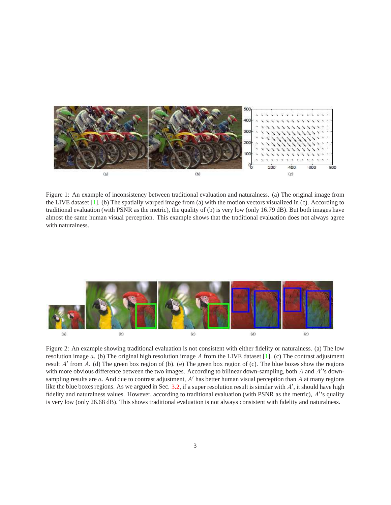<span id="page-2-2"></span>

<span id="page-2-0"></span>Figure 1: An example of inconsistency between traditional evaluation and naturalness. (a) The original image from the LIVE dataset [\[1\]](#page-9-0). (b) The spatially warped image from (a) with the motion vectors visualized in (c). According to traditional evaluation (with PSNR as the metric), the quality of (b) is very low (only 16.79 dB). But both images have almost the same human visual perception. This example shows that the traditional evaluation does not always agree with naturalness.



<span id="page-2-1"></span>Figure 2: An example showing traditional evaluation is not consistent with either fidelity or naturalness. (a) The low resolution image  $a$ . (b) The original high resolution image A from the LIVE dataset [\[1\]](#page-9-0). (c) The contrast adjustment result A′ from A. (d) The green box region of (b). (e) The green box region of (c). The blue boxes show the regions with more obvious difference between the two images. According to bilinear down-sampling, both A and A''s downsampling results are  $a$ . And due to contrast adjustment,  $A'$  has better human visual perception than  $A$  at many regions like the blue boxes regions. As we argued in Sec. [3.2,](#page-4-0) if a super resolution result is similar with  $A'$ , it should have high fidelity and naturalness values. However, according to traditional evaluation (with PSNR as the metric), A''s quality is very low (only 26.68 dB). This shows traditional evaluation is not always consistent with fidelity and naturalness.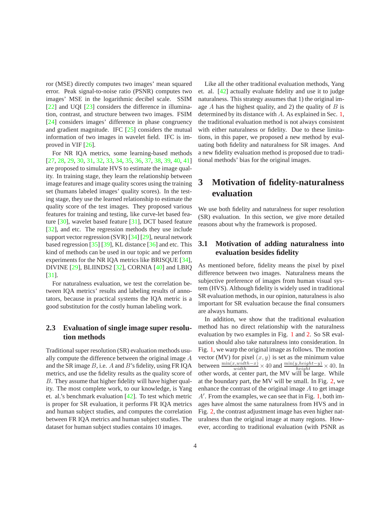<span id="page-3-0"></span>ror (MSE) directly computes two images' mean squared error. Peak signal-to-noise ratio (PSNR) computes two images' MSE in the logarithmic decibel scale. SSIM [\[22\]](#page-11-5) and UQI [\[23\]](#page-11-6) considers the difference in illumination, contrast, and structure between two images. FSIM [\[24\]](#page-11-7) considers images' difference in phase congruency and gradient magnitude. IFC [\[25\]](#page-11-8) considers the mutual information of two images in wavelet field. IFC is improved in VIF [\[26\]](#page-11-9).

For NR IQA metrics, some learning-based methods [\[27,](#page-11-10) [28,](#page-11-11) [29,](#page-11-12) [30,](#page-11-13) [31,](#page-11-14) [32,](#page-11-15) [33,](#page-11-16) [34,](#page-11-17) [35,](#page-11-18) [36,](#page-11-19) [37,](#page-11-20) [38,](#page-11-21) [39,](#page-11-22) [40,](#page-11-23) [41\]](#page-11-24) are proposed to simulate HVS to estimate the image quality. In training stage, they learn the relationship between image features and image quality scores using the training set (humans labeled images' quality scores). In the testing stage, they use the learned relationship to estimate the quality score of the test images. They proposed various features for training and testing, like curve-let based feature [\[30\]](#page-11-13), wavelet based feature [\[31\]](#page-11-14), DCT based feature [\[32\]](#page-11-15), and etc. The regression methods they use include support vector regression (SVR) [\[34\]](#page-11-17) [\[29\]](#page-11-12), neural network based regression [\[35\]](#page-11-18) [\[39\]](#page-11-22), KL distance [\[36\]](#page-11-19) and etc. This kind of methods can be used in our topic and we perform experiments for the NR IQA metrics like BRISQUE [\[34\]](#page-11-17), DIVINE [\[29\]](#page-11-12), BLIINDS2 [\[32\]](#page-11-15), CORNIA [\[40\]](#page-11-23) and LBIQ [\[31\]](#page-11-14).

For naturalness evaluation, we test the correlation between IQA metrics' results and labeling results of annotators, because in practical systems the IQA metric is a good substitution for the costly human labeling work.

## **2.3 Evaluation of single image super resolution methods**

Traditional super resolution (SR) evaluation methods usually compute the difference between the original image A and the SR image  $B$ , i.e. A and  $B$ 's fidelity, using FR IQA metrics, and use the fidelity results as the quality score of B. They assume that higher fidelity will have higher quality. The most complete work, to our knowledge, is Yang et. al.'s benchmark evaluation [\[42\]](#page-11-25). To test which metric is proper for SR evaluation, it performs FR IQA metrics and human subject studies, and computes the correlation between FR IQA metrics and human subject studies. The dataset for human subject studies contains 10 images.

Like all the other traditional evaluation methods, Yang et. al. [\[42\]](#page-11-25) actually evaluate fidelity and use it to judge naturalness. This strategy assumes that 1) the original image  $A$  has the highest quality, and 2) the quality of  $B$  is determined by its distance with A. As explained in Sec. [1,](#page-0-0) the traditional evaluation method is not always consistent with either naturalness or fidelity. Due to these limitations, in this paper, we proposed a new method by evaluating both fidelity and naturalness for SR images. And a new fidelity evaluation method is proposed due to traditional methods' bias for the original images.

# **3 Motivation of fidelity-naturalness evaluation**

We use both fidelity and naturalness for super resolution (SR) evaluation. In this section, we give more detailed reasons about why the framework is proposed.

## **3.1 Motivation of adding naturalness into evaluation besides fidelity**

As mentioned before, fidelity means the pixel by pixel difference between two images. Naturalness means the subjective preference of images from human visual system (HVS). Although fidelity is widely used in traditional SR evaluation methods, in our opinion, naturalness is also important for SR evaluation because the final consumers are always humans.

In addition, we show that the traditional evaluation method has no direct relationship with the naturalness evaluation by two examples in Fig. [1](#page-2-0) and [2.](#page-2-1) So SR evaluation should also take naturalness into consideration. In Fig. [1,](#page-2-0) we warp the original image as follows. The motion vector (MV) for pixel  $(x, y)$  is set as the minimum value between  $\frac{\min(x, width-x)}{width} \times 40$  and  $\frac{\min(y, height-y)}{height} \times 40$ . In other words, at center part, the MV will be large. While at the boundary part, the MV will be small. In Fig. [2,](#page-2-1) we enhance the contrast of the original image  $A$  to get image A′ . From the examples, we can see that in Fig. [1,](#page-2-0) both images have almost the same naturalness from HVS and in Fig. [2,](#page-2-1) the contrast adjustment image has even higher naturalness than the original image at many regions. However, according to traditional evaluation (with PSNR as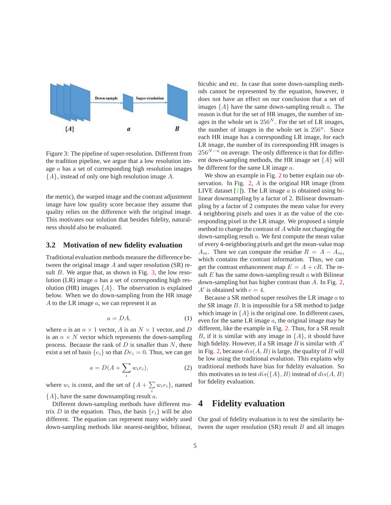<span id="page-4-2"></span>

<span id="page-4-1"></span>Figure 3: The pipeline of super-resolution. Different from the tradition pipeline, we argue that a low resolution image a has a set of corresponding high resolution images  ${A}$ , instead of only one high resolution image A.

the metric), the warped image and the contrast adjustment image have low quality score because they assume that quality relies on the difference with the original image. This motivates our solution that besides fidelity, naturalness should also be evaluated.

#### <span id="page-4-0"></span>**3.2 Motivation of new fidelity evaluation**

Traditional evaluation methods measure the difference between the original image A and super resolution (SR) result  $B$ . We argue that, as shown in Fig. [3,](#page-4-1) the low resolution (LR) image  $a$  has a set of corresponding high resolution (HR) images  $\{A\}$ . The observation is explained below. When we do down-sampling from the HR image A to the LR image a, we can represent it as

$$
a = DA,\tag{1}
$$

where a is an  $n \times 1$  vector, A is an  $N \times 1$  vector, and D is an  $n \times N$  vector which represents the down-sampling process. Because the rank of  $D$  is smaller than  $N$ , there exist a set of basis  $\{e_i\}$  so that  $De_i = 0$ . Thus, we can get

$$
a = D(A + \sum_{i} w_i e_i), \tag{2}
$$

where  $w_i$  is const, and the set of  $\{A + \sum_i w_i e_i\}$ , named  ${A}$ , have the same downsampling result a.

Different down-sampling methods have different matrix D in the equation. Thus, the basis  $\{e_i\}$  will be also different. The equation can represent many widely used down-sampling methods like nearest-neighbor, bilinear, bicubic and etc. In case that some down-sampling methods cannot be represented by the equation, however, it does not have an effect on our conclusion that a set of images  $\{A\}$  have the same down-sampling result a. The reason is that for the set of HR images, the number of images in the whole set is  $256<sup>N</sup>$ . For the set of LR images, the number of images in the whole set is  $256^n$ . Since each HR image has a corresponding LR image, for each LR image, the number of its corresponding HR images is  $256^{N-n}$  on average. The only difference is that for different down-sampling methods, the HR image set  $\{A\}$  will be different for the same LR image  $a$ .

We show an example in Fig. [2](#page-2-1) to better explain our observation. In Fig. [2,](#page-2-1) A is the original HR image (from LIVE dataset  $[1]$ ). The LR image a is obtained using bilinear downsampling by a factor of 2. Bilinear downsampling by a factor of 2 computes the mean value for every 4 neighboring pixels and uses it as the value of the corresponding pixel in the LR image. We proposed a simple method to change the contrast of A while not changing the down-sampling result a. We first compute the mean value of every 4-neighboring pixels and get the mean-value map  $A_m$ . Then we can compute the residue  $R = A - A_m$ , which contains the contrast information. Thus, we can get the contrast enhancement map  $E = A + cR$ . The result  $E$  has the same down-sampling result  $\alpha$  with Bilinear down-sampling but has higher contrast than A. In Fig. [2,](#page-2-1)  $A'$  is obtained with  $c = 4$ .

Because a SR method super resolves the LR image  $a$  to the SR image  $B$ . It is impossible for a SR method to judge which image in  ${A}$  is the original one. In different cases, even for the same LR image  $a$ , the original image may be different, like the example in Fig. [2.](#page-2-1) Thus, for a SR result B, if it is similar with any image in  $\{A\}$ , it should have high fidelity. However, if a SR image  $B$  is similar with  $A'$ in Fig. [2,](#page-2-1) because  $dis(A, B)$  is large, the quality of B will be low using the traditional evalution. This explains why traditional methods have bias for fidelity evaluation. So this motivates us to test  $dis({A}, B)$  instead of  $dis(A, B)$ for fidelity evaluation.

# **4 Fidelity evaluation**

Our goal of fidelity evaluation is to test the similarity between the super resolution  $(SR)$  result  $B$  and all images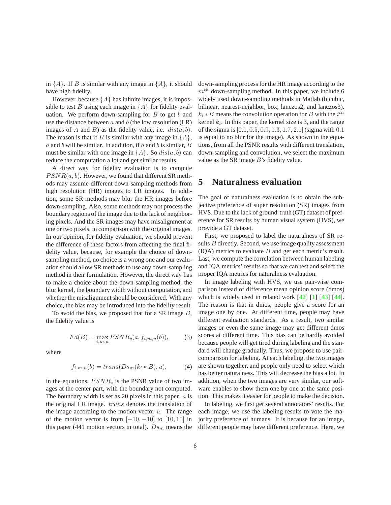<span id="page-5-1"></span>in  $\{A\}$ . If B is similar with any image in  $\{A\}$ , it should have high fidelity.

However, because  $\{A\}$  has infinite images, it is impossible to test B using each image in  $\{A\}$  for fidelity evaluation. We perform down-sampling for  $B$  to get  $b$  and use the distance between  $a$  and  $b$  (the low resolution (LR) images of A and B) as the fidelity value, i.e.  $dis(a, b)$ . The reason is that if B is similar with any image in  $\{A\}$ , a and b will be similar. In addition, if  $a$  and  $b$  is similar,  $B$ must be similar with one image in  $\{A\}$ . So  $dis(a, b)$  can reduce the computation a lot and get similar results.

A direct way for fidelity evaluation is to compute  $PSNR(a, b)$ . However, we found that different SR methods may assume different down-sampling methods from high resolution (HR) images to LR images. In addition, some SR methods may blur the HR images before down-sampling. Also, some methods may not process the boundary regions of the image due to the lack of neighboring pixels. And the SR images may have misalignment at one or two pixels, in comparison with the original images. In our opinion, for fidelity evaluation, we should prevent the difference of these factors from affecting the final fidelity value, because, for example the choice of downsampling method, no choice is a wrong one and our evaluation should allow SR methods to use any down-sampling method in their formulation. However, the direct way has to make a choice about the down-sampling method, the blur kernel, the boundary width without computation, and whether the misalignment should be considered. With any choice, the bias may be introduced into the fidelity result.

To avoid the bias, we proposed that for a SR image  $B$ , the fidelity value is

$$
Fd(B) = \max_{i,m,u} PSNR_c(a, f_{i,m,u}(b)),
$$
 (3)

where

$$
f_{i,m,u}(b) = trans(Ds_m(k_i * B), u), \tag{4}
$$

in the equations,  $PSNR_c$  is the PSNR value of two images at the center part, with the boundary not computed. The boundary width is set as 20 pixels in this paper.  $a$  is the original LR image. trans denotes the translation of the image according to the motion vector  $u$ . The range of the motion vector is from  $[-10, -10]$  to  $[10, 10]$  in this paper (441 motion vectors in total).  $Ds_m$  means the down-sampling process for the HR image according to the  $m<sup>th</sup>$  down-sampling method. In this paper, we include 6 widely used down-sampling methods in Matlab (bicubic, bilinear, nearest-neighbor, box, lanczos2, and lanczos3).  $k_i * B$  means the convolution operation for B with the  $i^{th}$ kernel  $k_i$ . In this paper, the kernel size is 3, and the range of the sigma is [0.1, 0.5, 0.9, 1.3, 1.7, 2.1] (sigma with 0.1 is equal to no blur for the image). As shown in the equations, from all the PSNR results with different translation, down-sampling and convolution, we select the maximum value as the SR image  $B$ 's fidelity value.

# <span id="page-5-0"></span>**5 Naturalness evaluation**

The goal of naturalness evaluation is to obtain the subjective preference of super resolution (SR) images from HVS. Due to the lack of ground-truth (GT) dataset of preference for SR results by human visual system (HVS), we provide a GT dataset.

First, we proposed to label the naturalness of SR results B directly. Second, we use image quality assessment  $(IQA)$  metrics to evaluate  $B$  and get each metric's result. Last, we compute the correlation between human labeling and IQA metrics' results so that we can test and select the proper IQA metrics for naturalness evaluation.

In image labeling with HVS, we use pair-wise comparison instead of difference mean opinion score (dmos) which is widely used in related work  $[42]$   $[1]$   $[43]$   $[44]$ . The reason is that in dmos, people give a score for an image one by one. At different time, people may have different evaluation standards. As a result, two similar images or even the same image may get different dmos scores at different time. This bias can be hardly avoided because people will get tired during labeling and the standard will change gradually. Thus, we propose to use paircomparison for labeling. At each labeling, the two images are shown together, and people only need to select which has better naturalness. This will decrease the bias a lot. In addition, when the two images are very similar, our software enables to show them one by one at the same position. This makes it easier for people to make the decision.

In labeling, we first get several annotators' results. For each image, we use the labeling results to vote the majority preference of humans. It is because for an image, different people may have different preference. Here, we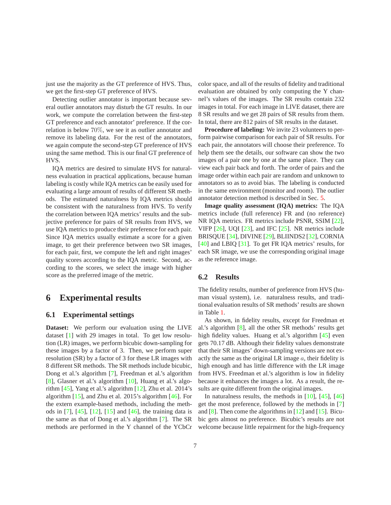<span id="page-6-0"></span>just use the majority as the GT preference of HVS. Thus, we get the first-step GT preference of HVS.

Detecting outlier annotator is important because several outlier annotators may disturb the GT results. In our work, we compute the correlation between the first-step GT preference and each annotator' preference. If the correlation is below 70%, we see it as outlier annotator and remove its labeling data. For the rest of the annotators, we again compute the second-step GT preference of HVS using the same method. This is our final GT preference of HVS.

IQA metrics are desired to simulate HVS for naturalness evaluation in practical applications, because human labeling is costly while IQA metrics can be easily used for evaluating a large amount of results of different SR methods. The estimated naturalness by IQA metrics should be consistent with the naturalness from HVS. To verify the correlation between IQA metrics' results and the subjective preference for pairs of SR results from HVS, we use IQA metrics to produce their preference for each pair. Since IQA metrics usually estimate a score for a given image, to get their preference between two SR images, for each pair, first, we compute the left and right images' quality scores according to the IQA metric. Second, according to the scores, we select the image with higher score as the preferred image of the metric.

# **6 Experimental results**

#### **6.1 Experimental settings**

**Dataset:** We perform our evaluation using the LIVE dataset [\[1\]](#page-9-0) with 29 images in total. To get low resolution (LR) images, we perform bicubic down-sampling for these images by a factor of 3. Then, we perform super resolution (SR) by a factor of 3 for these LR images with 8 different SR methods. The SR methods include bicubic, Dong et al.'s algorithm [\[7\]](#page-10-5), Freedman et al.'s algorithm [\[8\]](#page-10-6), Glasner et al.'s algorithm [\[10\]](#page-10-8), Huang et al.'s algorithm  $[45]$ , Yang et al.'s algorithm  $[12]$ , Zhu et al. 2014's algorithm [\[15\]](#page-10-13), and Zhu et al. 2015's algorithm [\[46\]](#page-12-1). For the extern example-based methods, including the methods in [\[7\]](#page-10-5), [\[45\]](#page-12-0), [\[12\]](#page-10-10), [\[15\]](#page-10-13) and [\[46\]](#page-12-1), the training data is the same as that of Dong et al.'s algorithm [\[7\]](#page-10-5). The SR methods are performed in the Y channel of the YCbCr color space, and all of the results of fidelity and traditional evaluation are obtained by only computing the Y channel's values of the images. The SR results contain 232 images in total. For each image in LIVE dataset, there are 8 SR results and we get 28 pairs of SR results from them. In total, there are 812 pairs of SR results in the dataset.

**Procedure of labeling:** We invite 23 volunteers to perform pairwise comparison for each pair of SR results. For each pair, the annotators will choose their preference. To help them see the details, our software can show the two images of a pair one by one at the same place. They can view each pair back and forth. The order of pairs and the image order within each pair are random and unknown to annotators so as to avoid bias. The labeling is conducted in the same environment (monitor and room). The outlier annotator detection method is described in Sec. [5.](#page-5-0)

**Image quality assessment (IQA) metrics:** The IQA metrics include (full reference) FR and (no reference) NR IQA metrics. FR metrics include PSNR, SSIM [\[22\]](#page-11-5), VIFP [\[26\]](#page-11-9), UQI [\[23\]](#page-11-6), and IFC [\[25\]](#page-11-8). NR metrics include BRISQUE [\[34\]](#page-11-17), DIVINE [\[29\]](#page-11-12), BLIINDS2 [\[32\]](#page-11-15), CORNIA [\[40\]](#page-11-23) and LBIQ [\[31\]](#page-11-14). To get FR IQA metrics' results, for each SR image, we use the corresponding original image as the reference image.

#### **6.2 Results**

The fidelity results, number of preference from HVS (human visual system), i.e. naturalness results, and traditional evaluation results of SR methods' results are shown in Table [1.](#page-7-0)

As shown, in fidelity results, except for Freedman et al.'s algorithm [\[8\]](#page-10-6), all the other SR methods' results get high fidelity values. Huang et al.'s algorithm [\[45\]](#page-12-0) even gets 70.17 dB. Although their fidelity values demonstrate that their SR images' down-sampling versions are not exactly the same as the original LR image  $a$ , their fidelity is high enough and has little difference with the LR image from HVS. Freedman et al.'s algorithm is low in fidelity because it enhances the images a lot. As a result, the results are quite different from the original images.

In naturalness results, the methods in  $[10]$ ,  $[45]$ ,  $[46]$ get the most preference, followed by the methods in [\[7\]](#page-10-5) and [\[8\]](#page-10-6). Then come the algorithms in  $[12]$  and  $[15]$ . Bicubic gets almost no preference. Bicubic's results are not welcome because little repairment for the high-frequency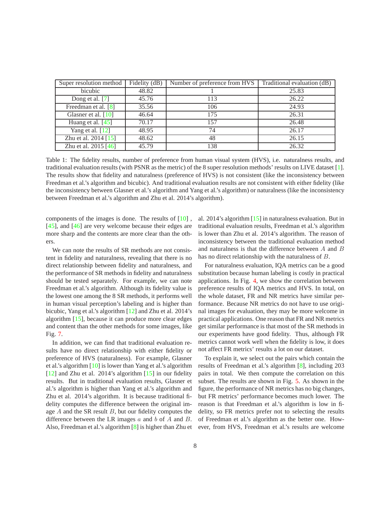<span id="page-7-1"></span>

| Super resolution method | Fidelity (dB) | Number of preference from HVS | Traditional evaluation (dB) |
|-------------------------|---------------|-------------------------------|-----------------------------|
| bicubic                 | 48.82         |                               | 25.83                       |
| Dong et al. $[7]$       | 45.76         | 113                           | 26.22                       |
| Freedman et al. [8]     | 35.56         | 106                           | 24.93                       |
| Glasner et al. $[10]$   | 46.64         | 175                           | 26.31                       |
| Huang et al. [45]       | 70.17         | 157                           | 26.48                       |
| Yang et al. [12]        | 48.95         | 74                            | 26.17                       |
| Zhu et al. 2014 [15]    | 48.62         | 48                            | 26.15                       |
| Zhu et al. 2015 [46]    | 45.79         | 138                           | 26.32                       |

<span id="page-7-0"></span>Table 1: The fidelity results, number of preference from human visual system (HVS), i.e. naturalness results, and traditional evaluation results (with PSNR as the metric) of the 8 super resolution methods' results on LIVE dataset [\[1\]](#page-9-0). The results show that fidelity and naturalness (preference of HVS) is not consistent (like the inconsistency between Freedman et al.'s algorithm and bicubic). And traditional evaluation results are not consistent with either fidelity (like the inconsistency between Glasner et al.'s algorithm and Yang et al.'s algorithm) or naturalness (like the inconsistency between Freedman et al.'s algorithm and Zhu et al. 2014's algorithm).

components of the images is done. The results of [\[10\]](#page-10-8) , [\[45\]](#page-12-0), and [\[46\]](#page-12-1) are very welcome because their edges are more sharp and the contents are more clear than the others.

We can note the results of SR methods are not consistent in fidelity and naturalness, revealing that there is no direct relationship between fidelity and naturalness, and the performance of SR methods in fidelity and naturalness should be tested separately. For example, we can note Freedman et al.'s algorithm. Although its fidelity value is the lowest one among the 8 SR methods, it performs well in human visual perception's labeling and is higher than bicubic, Yang et al.'s algorithm [\[12\]](#page-10-10) and Zhu et al. 2014's algorithm [\[15\]](#page-10-13), because it can produce more clear edges and content than the other methods for some images, like Fig. [7.](#page-9-1)

In addition, we can find that traditional evaluation results have no direct relationship with either fidelity or preference of HVS (naturalness). For example, Glasner et al.'s algorithm [\[10\]](#page-10-8) is lower than Yang et al.'s algorithm [\[12\]](#page-10-10) and Zhu et al. 2014's algorithm [\[15\]](#page-10-13) in our fidelity results. But in traditional evaluation results, Glasner et al.'s algorithm is higher than Yang et al.'s algorithm and Zhu et al. 2014's algorithm. It is because traditional fidelity computes the difference between the original image  $A$  and the SR result  $B$ , but our fidelity computes the difference between the LR images  $a$  and  $b$  of  $A$  and  $B$ . Also, Freedman et al.'s algorithm [\[8\]](#page-10-6) is higher than Zhu et al. 2014's algorithm [\[15\]](#page-10-13) in naturalness evaluation. But in traditional evaluation results, Freedman et al.'s algorithm is lower than Zhu et al. 2014's algorithm. The reason of inconsistency between the traditional evaluation method and naturalness is that the difference between A and B has no direct relationship with the naturalness of B.

For naturalness evaluation, IQA metrics can be a good substitution because human labeling is costly in practical applications. In Fig. [4,](#page-8-0) we show the correlation between preference results of IQA metrics and HVS. In total, on the whole dataset, FR and NR metrics have similar performance. Because NR metrics do not have to use original images for evaluation, they may be more welcome in practical applications. One reason that FR and NR metrics get similar performance is that most of the SR methods in our experiments have good fidelity. Thus, although FR metrics cannot work well when the fidelity is low, it does not affect FR metrics' results a lot on our dataset.

To explain it, we select out the pairs which contain the results of Freedman et al.'s algorithm [\[8\]](#page-10-6), including 203 pairs in total. We then compute the correlation on this subset. The results are shown in Fig. [5.](#page-8-1) As shown in the figure, the performance of NR metrics has no big changes, but FR metrics' performance becomes much lower. The reason is that Freedman et al.'s algorithm is low in fidelity, so FR metrics prefer not to selecting the results of Freedman et al.'s algorithm as the better one. However, from HVS, Freedman et al.'s results are welcome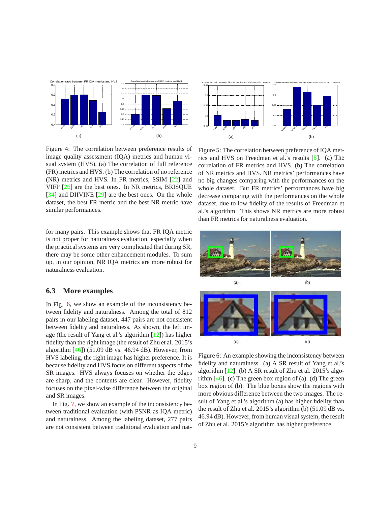<span id="page-8-3"></span>

<span id="page-8-0"></span>Figure 4: The correlation between preference results of image quality assessment (IQA) metrics and human visual system (HVS). (a) The correlation of full reference (FR) metrics and HVS. (b) The correlation of no reference (NR) metrics and HVS. In FR metrics, SSIM [\[22\]](#page-11-5) and VIFP [\[26\]](#page-11-9) are the best ones. In NR metrics, BRISQUE [\[34\]](#page-11-17) and DIIVINE [\[29\]](#page-11-12) are the best ones. On the whole dataset, the best FR metric and the best NR metric have similar performances.

for many pairs. This example shows that FR IQA metric is not proper for naturalness evaluation, especially when the practical systems are very complicated that during SR, there may be some other enhancement modules. To sum up, in our opinion, NR IQA metrics are more robust for naturalness evaluation.

#### **6.3 More examples**

In Fig. [6,](#page-8-2) we show an example of the inconsistency between fidelity and naturalness. Among the total of 812 pairs in our labeling dataset, 447 pairs are not consistent between fidelity and naturalness. As shown, the left image (the result of Yang et al.'s algorithm [\[12\]](#page-10-10)) has higher fidelity than the right image (the result of Zhu et al. 2015's algorithm  $[46]$ ) (51.09 dB vs. 46.94 dB). However, from HVS labeling, the right image has higher preference. It is because fidelity and HVS focus on different aspects of the SR images. HVS always focuses on whether the edges are sharp, and the contents are clear. However, fidelity focuses on the pixel-wise difference between the original and SR images.

In Fig. [7,](#page-9-1) we show an example of the inconsistency between traditional evaluation (with PSNR as IQA metric) and naturalness. Among the labeling dataset, 277 pairs are not consistent between traditional evaluation and nat-



<span id="page-8-1"></span>Figure 5: The correlation between preference of IQA metrics and HVS on Freedman et al.'s results [\[8\]](#page-10-6). (a) The correlation of FR metrics and HVS. (b) The correlation of NR metrics and HVS. NR metrics' performances have no big changes comparing with the performances on the whole dataset. But FR metrics' performances have big decrease comparing with the performances on the whole dataset, due to low fidelity of the results of Freedman et al.'s algorithm. This shows NR metrics are more robust than FR metrics for naturalness evaluation.





<span id="page-8-2"></span>Figure 6: An example showing the inconsistency between fidelity and naturalness. (a) A SR result of Yang et al.'s algorithm [\[12\]](#page-10-10). (b) A SR result of Zhu et al. 2015's algorithm  $[46]$ . (c) The green box region of (a). (d) The green box region of (b). The blue boxes show the regions with more obvious difference between the two images. The result of Yang et al.'s algorithm (a) has higher fidelity than the result of Zhu et al. 2015's algorithm (b) (51.09 dB vs. 46.94 dB). However, from human visual system, the result of Zhu et al. 2015's algorithm has higher preference.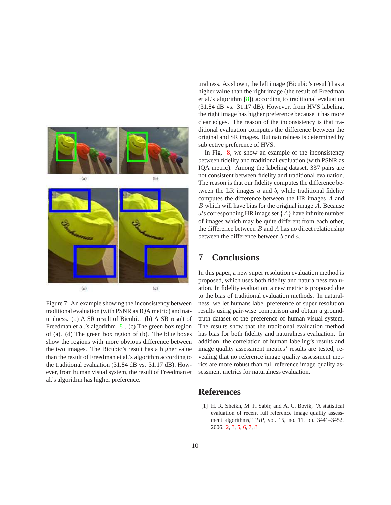<span id="page-9-2"></span>

Figure 7: An example showing the inconsistency between traditional evaluation (with PSNR as IQA metric) and naturalness. (a) A SR result of Bicubic. (b) A SR result of Freedman et al.'s algorithm [\[8\]](#page-10-6). (c) The green box region of (a). (d) The green box region of (b). The blue boxes show the regions with more obvious difference between the two images. The Bicubic's result has a higher value than the result of Freedman et al.'s algorithm according to the traditional evaluation (31.84 dB vs. 31.17 dB). However, from human visual system, the result of Freedman et al.'s algorithm has higher preference.

uralness. As shown, the left image (Bicubic's result) has a higher value than the right image (the result of Freedman et al.'s algorithm [\[8\]](#page-10-6)) according to traditional evaluation (31.84 dB vs. 31.17 dB). However, from HVS labeling, the right image has higher preference because it has more clear edges. The reason of the inconsistency is that traditional evaluation computes the difference between the original and SR images. But naturalness is determined by subjective preference of HVS.

In Fig. [8,](#page-10-15) we show an example of the inconsistency between fidelity and traditional evaluation (with PSNR as IQA metric). Among the labeling dataset, 337 pairs are not consistent between fidelity and traditional evaluation. The reason is that our fidelity computes the difference between the LR images  $a$  and  $b$ , while traditional fidelity computes the difference between the HR images A and  $B$  which will have bias for the original image  $A$ . Because a's corresponding HR image set  $\{A\}$  have infinite number of images which may be quite different from each other, the difference between  $B$  and  $A$  has no direct relationship between the difference between b and a.

# **7 Conclusions**

<span id="page-9-1"></span>In this paper, a new super resolution evaluation method is proposed, which uses both fidelity and naturalness evaluation. In fidelity evaluation, a new metric is proposed due to the bias of traditional evaluation methods. In naturalness, we let humans label preference of super resolution results using pair-wise comparison and obtain a groundtruth dataset of the preference of human visual system. The results show that the traditional evaluation method has bias for both fidelity and naturalness evaluation. In addition, the correlation of human labeling's results and image quality assessment metrics' results are tested, revealing that no reference image quality assessment metrics are more robust than full reference image quality assessment metrics for naturalness evaluation.

# <span id="page-9-0"></span>**References**

[1] H. R. Sheikh, M. F. Sabir, and A. C. Bovik, "A statistical evaluation of recent full reference image quality assessment algorithms," *TIP*, vol. 15, no. 11, pp. 3441–3452, 2006. [2,](#page-1-0) [3,](#page-2-2) [5,](#page-4-2) [6,](#page-5-1) [7,](#page-6-0) [8](#page-7-1)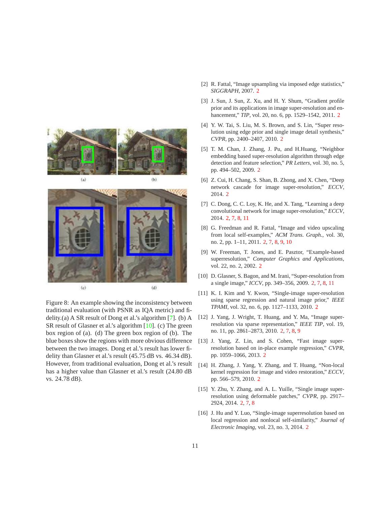<span id="page-10-16"></span>

 $(a)$ 

 $(b)$ 



<span id="page-10-15"></span>

Figure 8: An example showing the inconsistency between traditional evaluation (with PSNR as IQA metric) and fidelity.(a) A SR result of Dong et al.'s algorithm [\[7\]](#page-10-5). (b) A SR result of Glasner et al.'s algorithm [\[10\]](#page-10-8). (c) The green box region of (a). (d) The green box region of (b). The blue boxes show the regions with more obvious difference between the two images. Dong et al.'s result has lower fidelity than Glasner et al.'s result (45.75 dB vs. 46.34 dB). However, from traditional evaluation, Dong et al.'s result has a higher value than Glasner et al.'s result (24.80 dB vs. 24.78 dB).

- <span id="page-10-0"></span>[2] R. Fattal, "Image upsampling via imposed edge statistics," *SIGGRAPH*, 2007. [2](#page-1-0)
- <span id="page-10-1"></span>[3] J. Sun, J. Sun, Z. Xu, and H. Y. Shum, "Gradient profile prior and its applications in image super-resolution and enhancement," *TIP*, vol. 20, no. 6, pp. 1529–1542, 2011. [2](#page-1-0)
- <span id="page-10-2"></span>[4] Y. W. Tai, S. Liu, M. S. Brown, and S. Lin, "Super resolution using edge prior and single image detail synthesis," *CVPR*, pp. 2400–2407, 2010. [2](#page-1-0)
- <span id="page-10-3"></span>[5] T. M. Chan, J. Zhang, J. Pu, and H.Huang, "Neighbor embedding based super-resolution algorithm through edge detection and feature selection," *PR Letters*, vol. 30, no. 5, pp. 494–502, 2009. [2](#page-1-0)
- <span id="page-10-4"></span>[6] Z. Cui, H. Chang, S. Shan, B. Zhong, and X. Chen, "Deep network cascade for image super-resolution," *ECCV*, 2014. [2](#page-1-0)
- <span id="page-10-5"></span>[7] C. Dong, C. C. Loy, K. He, and X. Tang, "Learning a deep convolutional network for image super-resolution," *ECCV*, 2014. [2,](#page-1-0) [7,](#page-6-0) [8,](#page-7-1) [11](#page-10-16)
- <span id="page-10-6"></span>[8] G. Freedman and R. Fattal, "Image and video upscaling from local self-examples," *ACM Trans. Graph.*, vol. 30, no. 2, pp. 1–11, 2011. [2,](#page-1-0) [7,](#page-6-0) [8,](#page-7-1) [9,](#page-8-3) [10](#page-9-2)
- <span id="page-10-7"></span>[9] W. Freeman, T. Jones, and E. Pasztor, "Example-based superresolution," *Computer Graphics and Applications*, vol. 22, no. 2, 2002. [2](#page-1-0)
- <span id="page-10-8"></span>[10] D. Glasner, S. Bagon, and M. Irani, "Super-resolution from a single image," *ICCV*, pp. 349–356, 2009. [2,](#page-1-0) [7,](#page-6-0) [8,](#page-7-1) [11](#page-10-16)
- <span id="page-10-9"></span>[11] K. I. Kim and Y. Kwon, "Single-image super-resolution using sparse regression and natural image prior," *IEEE TPAMI*, vol. 32, no. 6, pp. 1127–1133, 2010. [2](#page-1-0)
- <span id="page-10-10"></span>[12] J. Yang, J. Wright, T. Huang, and Y. Ma, "Image superresolution via sparse representation," *IEEE TIP*, vol. 19, no. 11, pp. 2861–2873, 2010. [2,](#page-1-0) [7,](#page-6-0) [8,](#page-7-1) [9](#page-8-3)
- <span id="page-10-11"></span>[13] J. Yang, Z. Lin, and S. Cohen, "Fast image superresolution based on in-place example regression," *CVPR*, pp. 1059–1066, 2013. [2](#page-1-0)
- <span id="page-10-12"></span>[14] H. Zhang, J. Yang, Y. Zhang, and T. Huang, "Non-local kernel regression for image and video restoration," *ECCV*, pp. 566–579, 2010. [2](#page-1-0)
- <span id="page-10-13"></span>[15] Y. Zhu, Y. Zhang, and A. L. Yuille, "Single image superresolution using deformable patches," *CVPR*, pp. 2917– 2924, 2014. [2,](#page-1-0) [7,](#page-6-0) [8](#page-7-1)
- <span id="page-10-14"></span>[16] J. Hu and Y. Luo, "Single-image superresolution based on local regression and nonlocal self-similarity," *Journal of Electronic Imaging*, vol. 23, no. 3, 2014. [2](#page-1-0)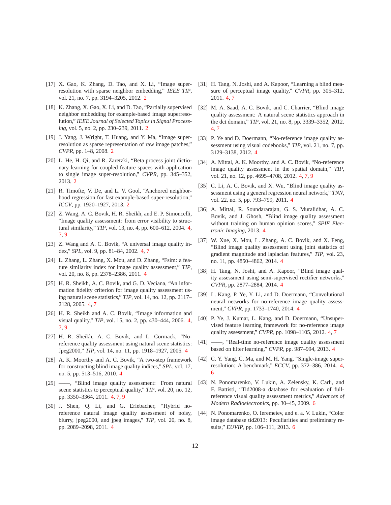- <span id="page-11-0"></span>[17] X. Gao, K. Zhang, D. Tao, and X. Li, "Image superresolution with sparse neighbor embedding," *IEEE TIP*, vol. 21, no. 7, pp. 3194–3205, 2012. [2](#page-1-0)
- <span id="page-11-1"></span>[18] K. Zhang, X. Gao, X. Li, and D. Tao, "Partially supervised neighbor embedding for example-based image superresolution," *IEEE Journal of Selected Topics in Signal Processing*, vol. 5, no. 2, pp. 230–239, 2011. [2](#page-1-0)
- <span id="page-11-2"></span>[19] J. Yang, J. Wright, T. Huang, and Y. Ma, "Image superresolution as sparse representation of raw image patches," *CVPR*, pp. 1–8, 2008. [2](#page-1-0)
- <span id="page-11-3"></span>[20] L. He, H. Qi, and R. Zaretzki, "Beta process joint dictionary learning for coupled feature spaces with application to single image super-resolution," *CVPR*, pp. 345–352, 2013. [2](#page-1-0)
- <span id="page-11-4"></span>[21] R. Timofte, V. De, and L. V. Gool, "Anchored neighborhood regression for fast example-based super-resolution," *ICCV*, pp. 1920–1927, 2013. [2](#page-1-0)
- <span id="page-11-5"></span>[22] Z. Wang, A. C. Bovik, H. R. Sheikh, and E. P. Simoncelli, "Image quality assessment: from error visibility to structural similarity," *TIP*, vol. 13, no. 4, pp. 600–612, 2004. [4,](#page-3-0) [7,](#page-6-0) [9](#page-8-3)
- <span id="page-11-6"></span>[23] Z. Wang and A. C. Bovik, "A universal image quality index," *SPL*, vol. 9, pp. 81–84, 2002. [4,](#page-3-0) [7](#page-6-0)
- <span id="page-11-7"></span>[24] L. Zhang, L. Zhang, X. Mou, and D. Zhang, "Fsim: a feature similarity index for image quality assessment," *TIP*, vol. 20, no. 8, pp. 2378–2386, 2011. [4](#page-3-0)
- <span id="page-11-8"></span>[25] H. R. Sheikh, A. C. Bovik, and G. D. Veciana, "An information fidelity criterion for image quality assessment using natural scene statistics," *TIP*, vol. 14, no. 12, pp. 2117– 2128, 2005. [4,](#page-3-0) [7](#page-6-0)
- <span id="page-11-9"></span>[26] H. R. Sheikh and A. C. Bovik, "Image information and visual quality," *TIP*, vol. 15, no. 2, pp. 430–444, 2006. [4,](#page-3-0) [7,](#page-6-0) [9](#page-8-3)
- <span id="page-11-10"></span>[27] H. R. Sheikh, A. C. Bovik, and L. Cormack, "Noreference quality assessment using natural scene statistics: Jpeg2000," *TIP*, vol. 14, no. 11, pp. 1918–1927, 2005. [4](#page-3-0)
- <span id="page-11-11"></span>[28] A. K. Moorthy and A. C. Bovik, "A two-step framework for constructing blind image quality indices," *SPL*, vol. 17, no. 5, pp. 513–516, 2010. [4](#page-3-0)
- <span id="page-11-12"></span>[29] ——, "Blind image quality assessment: From natural scene statistics to perceptual quality," *TIP*, vol. 20, no. 12, pp. 3350–3364, 2011. [4,](#page-3-0) [7,](#page-6-0) [9](#page-8-3)
- <span id="page-11-13"></span>[30] J. Shen, Q. Li, and G. Erlebacher, "Hybrid noreference natural image quality assessment of noisy, blurry, jpeg2000, and jpeg images," *TIP*, vol. 20, no. 8, pp. 2089–2098, 2011. [4](#page-3-0)
- <span id="page-11-14"></span>[31] H. Tang, N. Joshi, and A. Kapoor, "Learning a blind measure of perceptual image quality," *CVPR*, pp. 305–312, 2011. [4,](#page-3-0) [7](#page-6-0)
- <span id="page-11-15"></span>[32] M. A. Saad, A. C. Bovik, and C. Charrier, "Blind image quality assessment: A natural scene statistics approach in the dct domain," *TIP*, vol. 21, no. 8, pp. 3339–3352, 2012. [4,](#page-3-0) [7](#page-6-0)
- <span id="page-11-16"></span>[33] P. Ye and D. Doermann, "No-reference image quality assessment using visual codebooks," *TIP*, vol. 21, no. 7, pp. 3129–3138, 2012. [4](#page-3-0)
- <span id="page-11-17"></span>[34] A. Mittal, A. K. Moorthy, and A. C. Bovik, "No-reference image quality assessment in the spatial domain," *TIP*, vol. 21, no. 12, pp. 4695–4708, 2012. [4,](#page-3-0) [7,](#page-6-0) [9](#page-8-3)
- <span id="page-11-18"></span>[35] C. Li, A. C. Bovik, and X. Wu, "Blind image quality assessment using a general regression neural network," *TNN*, vol. 22, no. 5, pp. 793–799, 2011. [4](#page-3-0)
- <span id="page-11-19"></span>[36] A. Mittal, R. Soundararajan, G. S. Muralidhar, A. C. Bovik, and J. Ghosh, "Blind image quality assessment without training on human opinion scores," *SPIE Electronic Imaging*, 2013. [4](#page-3-0)
- <span id="page-11-20"></span>[37] W. Xue, X. Mou, L. Zhang, A. C. Bovik, and X. Feng, "Blind image quality assessment using joint statistics of gradient magnitude and laplacian features," *TIP*, vol. 23, no. 11, pp. 4850–4862, 2014. [4](#page-3-0)
- <span id="page-11-21"></span>[38] H. Tang, N. Joshi, and A. Kapoor, "Blind image quality assessment using semi-supervised rectifier networks," *CVPR*, pp. 2877–2884, 2014. [4](#page-3-0)
- <span id="page-11-22"></span>[39] L. Kang, P. Ye, Y. Li, and D. Doermann, "Convolutional neural networks for no-reference image quality assessment," *CVPR*, pp. 1733–1740, 2014. [4](#page-3-0)
- <span id="page-11-23"></span>[40] P. Ye, J. Kumar, L. Kang, and D. Doermann, "Unsupervised feature learning framework for no-reference image quality assessment," *CVPR*, pp. 1098–1105, 2012. [4,](#page-3-0) [7](#page-6-0)
- <span id="page-11-24"></span>[41] ——, "Real-time no-reference image quality assessment based on filter learning," *CVPR*, pp. 987–994, 2013. [4](#page-3-0)
- <span id="page-11-25"></span>[42] C. Y. Yang, C. Ma, and M. H. Yang, "Single-image superresolution: A benchmark," *ECCV*, pp. 372–386, 2014. [4,](#page-3-0) [6](#page-5-1)
- <span id="page-11-26"></span>[43] N. Ponomarenko, V. Lukin, A. Zelensky, K. Carli, and F. Battisti, "Tid2008-a database for evaluation of fullreference visual quality assessment metrics," *Advances of Modern Radioelectronics*, pp. 30–45, 2009. [6](#page-5-1)
- <span id="page-11-27"></span>[44] N. Ponomarenko, O. Ieremeiev, and e. a. V. Lukin, "Color image database tid2013: Peculiarities and preliminary results," *EUVIP*, pp. 106–111, 2013. [6](#page-5-1)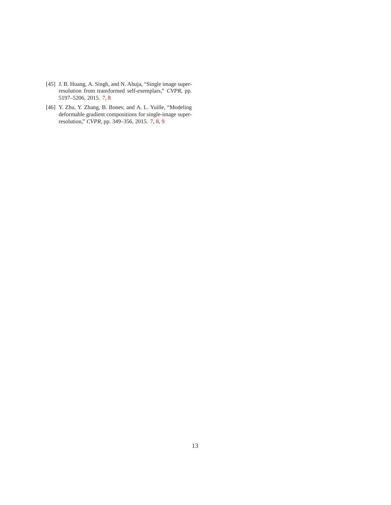- <span id="page-12-0"></span>[45] J. B. Huang, A. Singh, and N. Ahuja, "Single image superresolution from transformed self-exemplars," *CVPR*, pp. 5197–5206, 2015. [7,](#page-6-0) [8](#page-7-1)
- <span id="page-12-1"></span>[46] Y. Zhu, Y. Zhang, B. Bonev, and A. L. Yuille, "Modeling deformable gradient compositions for single-image superresolution," *CVPR*, pp. 349–356, 2015. [7,](#page-6-0) [8,](#page-7-1) [9](#page-8-3)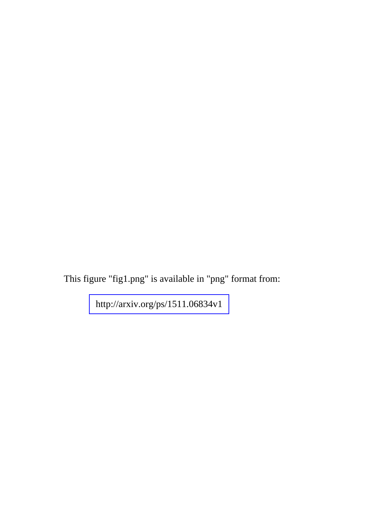This figure "fig1.png" is available in "png" format from: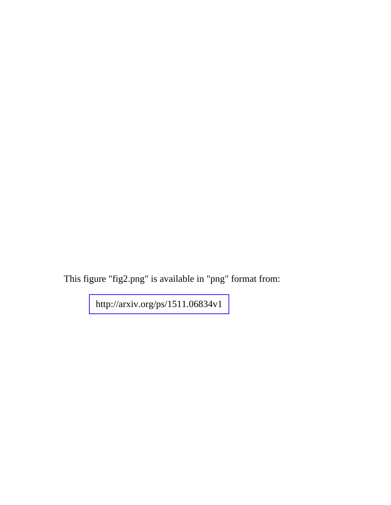This figure "fig2.png" is available in "png" format from: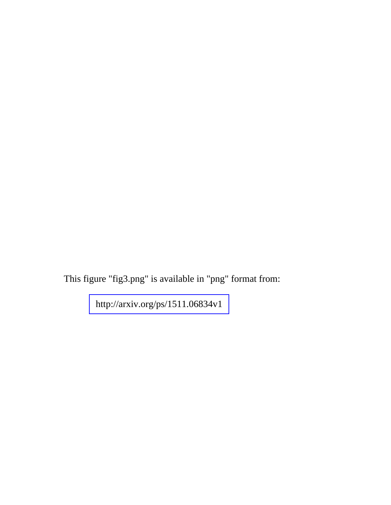This figure "fig3.png" is available in "png" format from: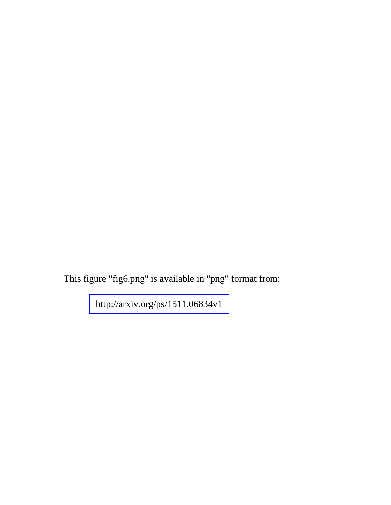This figure "fig6.png" is available in "png" format from: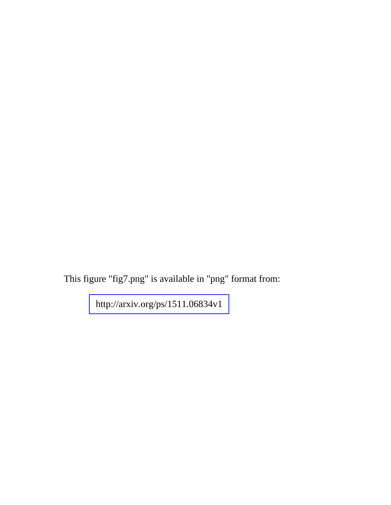This figure "fig7.png" is available in "png" format from: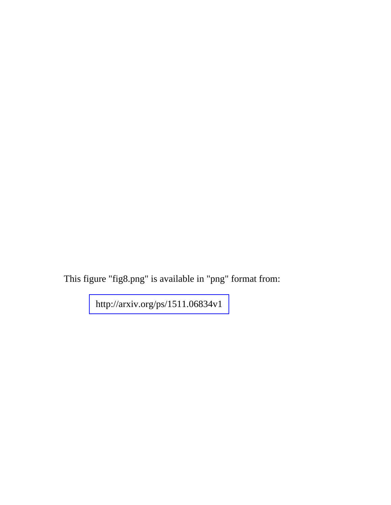This figure "fig8.png" is available in "png" format from: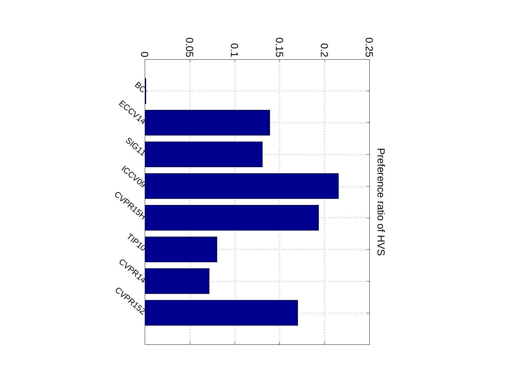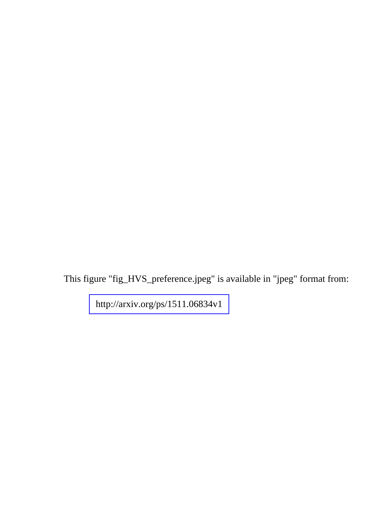This figure "fig\_HVS\_preference.jpeg" is available in "jpeg" format from: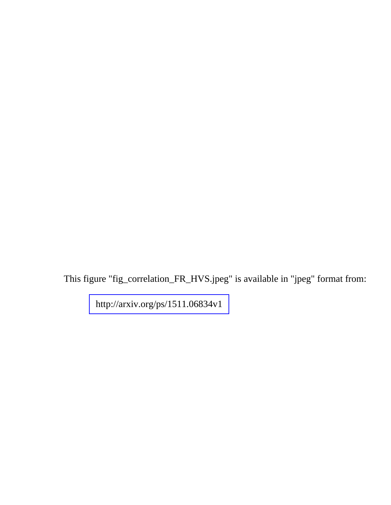This figure "fig\_correlation\_FR\_HVS.jpeg" is available in "jpeg" format from: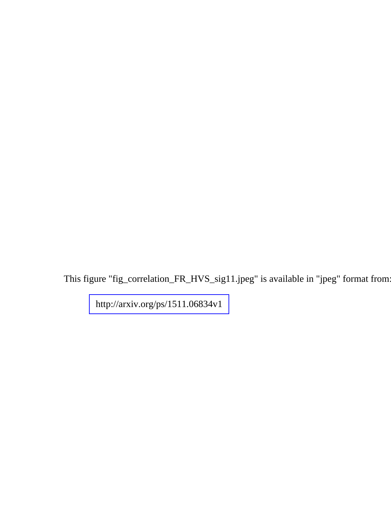This figure "fig\_correlation\_FR\_HVS\_sig11.jpeg" is available in "jpeg" format from: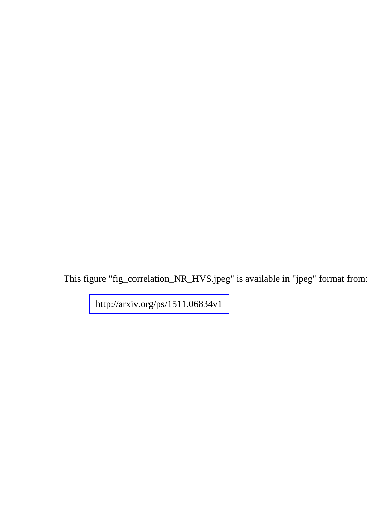This figure "fig\_correlation\_NR\_HVS.jpeg" is available in "jpeg" format from: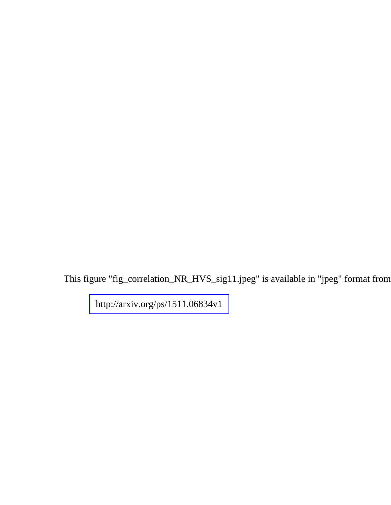This figure "fig\_correlation\_NR\_HVS\_sig11.jpeg" is available in "jpeg" format from: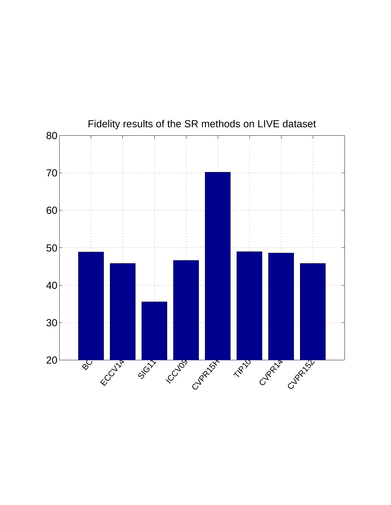

Fidelity results of the SR methods on LIVE dataset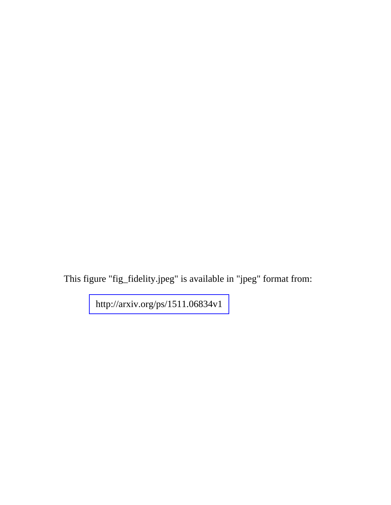This figure "fig\_fidelity.jpeg" is available in "jpeg" format from: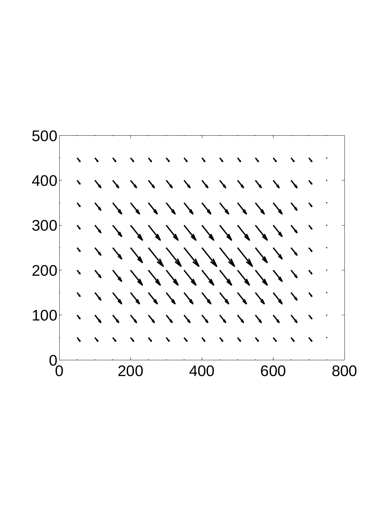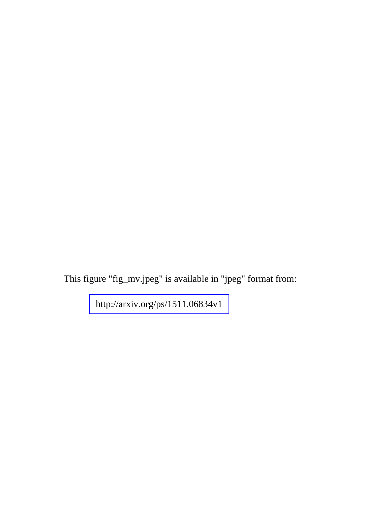This figure "fig\_mv.jpeg" is available in "jpeg" format from: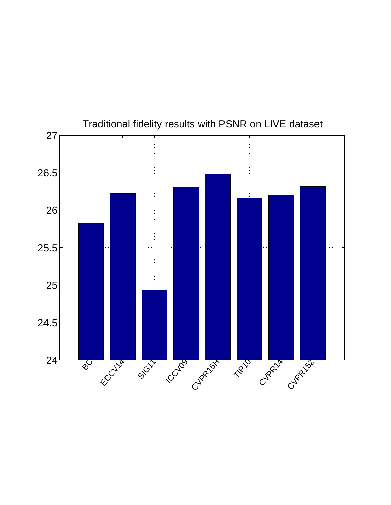

Traditional fidelity results with PSNR on LIVE dataset